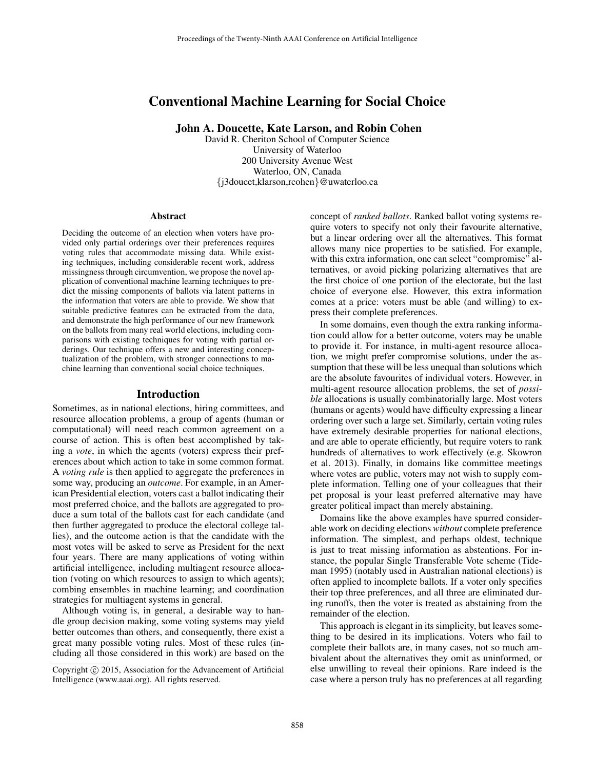# Conventional Machine Learning for Social Choice

John A. Doucette, Kate Larson, and Robin Cohen

David R. Cheriton School of Computer Science University of Waterloo 200 University Avenue West Waterloo, ON, Canada {j3doucet,klarson,rcohen}@uwaterloo.ca

#### Abstract

Deciding the outcome of an election when voters have provided only partial orderings over their preferences requires voting rules that accommodate missing data. While existing techniques, including considerable recent work, address missingness through circumvention, we propose the novel application of conventional machine learning techniques to predict the missing components of ballots via latent patterns in the information that voters are able to provide. We show that suitable predictive features can be extracted from the data, and demonstrate the high performance of our new framework on the ballots from many real world elections, including comparisons with existing techniques for voting with partial orderings. Our technique offers a new and interesting conceptualization of the problem, with stronger connections to machine learning than conventional social choice techniques.

#### Introduction

Sometimes, as in national elections, hiring committees, and resource allocation problems, a group of agents (human or computational) will need reach common agreement on a course of action. This is often best accomplished by taking a *vote*, in which the agents (voters) express their preferences about which action to take in some common format. A *voting rule* is then applied to aggregate the preferences in some way, producing an *outcome*. For example, in an American Presidential election, voters cast a ballot indicating their most preferred choice, and the ballots are aggregated to produce a sum total of the ballots cast for each candidate (and then further aggregated to produce the electoral college tallies), and the outcome action is that the candidate with the most votes will be asked to serve as President for the next four years. There are many applications of voting within artificial intelligence, including multiagent resource allocation (voting on which resources to assign to which agents); combing ensembles in machine learning; and coordination strategies for multiagent systems in general.

Although voting is, in general, a desirable way to handle group decision making, some voting systems may yield better outcomes than others, and consequently, there exist a great many possible voting rules. Most of these rules (including all those considered in this work) are based on the concept of *ranked ballots*. Ranked ballot voting systems require voters to specify not only their favourite alternative, but a linear ordering over all the alternatives. This format allows many nice properties to be satisfied. For example, with this extra information, one can select "compromise" alternatives, or avoid picking polarizing alternatives that are the first choice of one portion of the electorate, but the last choice of everyone else. However, this extra information comes at a price: voters must be able (and willing) to express their complete preferences.

In some domains, even though the extra ranking information could allow for a better outcome, voters may be unable to provide it. For instance, in multi-agent resource allocation, we might prefer compromise solutions, under the assumption that these will be less unequal than solutions which are the absolute favourites of individual voters. However, in multi-agent resource allocation problems, the set of *possible* allocations is usually combinatorially large. Most voters (humans or agents) would have difficulty expressing a linear ordering over such a large set. Similarly, certain voting rules have extremely desirable properties for national elections, and are able to operate efficiently, but require voters to rank hundreds of alternatives to work effectively (e.g. Skowron et al. 2013). Finally, in domains like committee meetings where votes are public, voters may not wish to supply complete information. Telling one of your colleagues that their pet proposal is your least preferred alternative may have greater political impact than merely abstaining.

Domains like the above examples have spurred considerable work on deciding elections *without* complete preference information. The simplest, and perhaps oldest, technique is just to treat missing information as abstentions. For instance, the popular Single Transferable Vote scheme (Tideman 1995) (notably used in Australian national elections) is often applied to incomplete ballots. If a voter only specifies their top three preferences, and all three are eliminated during runoffs, then the voter is treated as abstaining from the remainder of the election.

This approach is elegant in its simplicity, but leaves something to be desired in its implications. Voters who fail to complete their ballots are, in many cases, not so much ambivalent about the alternatives they omit as uninformed, or else unwilling to reveal their opinions. Rare indeed is the case where a person truly has no preferences at all regarding

Copyright  $\odot$  2015, Association for the Advancement of Artificial Intelligence (www.aaai.org). All rights reserved.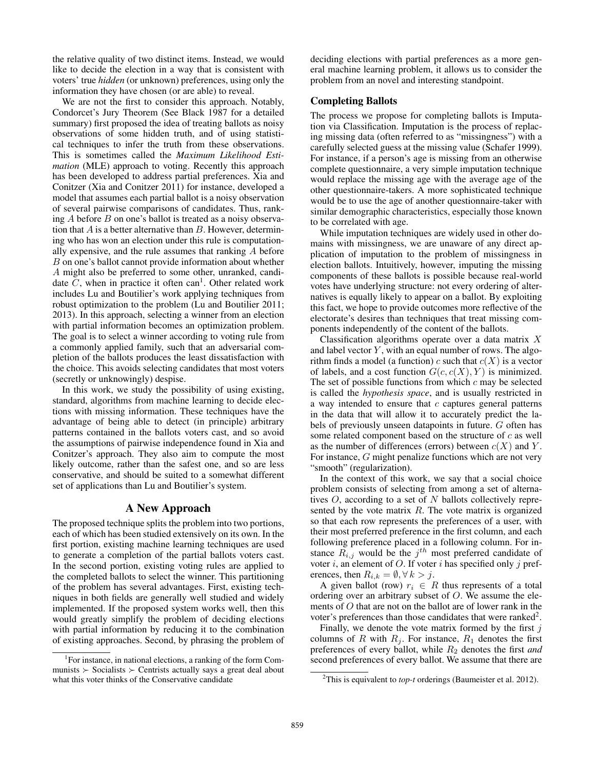the relative quality of two distinct items. Instead, we would like to decide the election in a way that is consistent with voters' true *hidden* (or unknown) preferences, using only the information they have chosen (or are able) to reveal.

We are not the first to consider this approach. Notably, Condorcet's Jury Theorem (See Black 1987 for a detailed summary) first proposed the idea of treating ballots as noisy observations of some hidden truth, and of using statistical techniques to infer the truth from these observations. This is sometimes called the *Maximum Likelihood Estimation* (MLE) approach to voting. Recently this approach has been developed to address partial preferences. Xia and Conitzer (Xia and Conitzer 2011) for instance, developed a model that assumes each partial ballot is a noisy observation of several pairwise comparisons of candidates. Thus, ranking A before B on one's ballot is treated as a noisy observation that  $A$  is a better alternative than  $B$ . However, determining who has won an election under this rule is computationally expensive, and the rule assumes that ranking A before B on one's ballot cannot provide information about whether A might also be preferred to some other, unranked, candidate  $\overline{C}$ , when in practice it often can<sup>1</sup>. Other related work includes Lu and Boutilier's work applying techniques from robust optimization to the problem (Lu and Boutilier 2011; 2013). In this approach, selecting a winner from an election with partial information becomes an optimization problem. The goal is to select a winner according to voting rule from a commonly applied family, such that an adversarial completion of the ballots produces the least dissatisfaction with the choice. This avoids selecting candidates that most voters (secretly or unknowingly) despise.

In this work, we study the possibility of using existing, standard, algorithms from machine learning to decide elections with missing information. These techniques have the advantage of being able to detect (in principle) arbitrary patterns contained in the ballots voters cast, and so avoid the assumptions of pairwise independence found in Xia and Conitzer's approach. They also aim to compute the most likely outcome, rather than the safest one, and so are less conservative, and should be suited to a somewhat different set of applications than Lu and Boutilier's system.

## A New Approach

The proposed technique splits the problem into two portions, each of which has been studied extensively on its own. In the first portion, existing machine learning techniques are used to generate a completion of the partial ballots voters cast. In the second portion, existing voting rules are applied to the completed ballots to select the winner. This partitioning of the problem has several advantages. First, existing techniques in both fields are generally well studied and widely implemented. If the proposed system works well, then this would greatly simplify the problem of deciding elections with partial information by reducing it to the combination of existing approaches. Second, by phrasing the problem of deciding elections with partial preferences as a more general machine learning problem, it allows us to consider the problem from an novel and interesting standpoint.

## Completing Ballots

The process we propose for completing ballots is Imputation via Classification. Imputation is the process of replacing missing data (often referred to as "missingness") with a carefully selected guess at the missing value (Schafer 1999). For instance, if a person's age is missing from an otherwise complete questionnaire, a very simple imputation technique would replace the missing age with the average age of the other questionnaire-takers. A more sophisticated technique would be to use the age of another questionnaire-taker with similar demographic characteristics, especially those known to be correlated with age.

While imputation techniques are widely used in other domains with missingness, we are unaware of any direct application of imputation to the problem of missingness in election ballots. Intuitively, however, imputing the missing components of these ballots is possible because real-world votes have underlying structure: not every ordering of alternatives is equally likely to appear on a ballot. By exploiting this fact, we hope to provide outcomes more reflective of the electorate's desires than techniques that treat missing components independently of the content of the ballots.

Classification algorithms operate over a data matrix X and label vector  $Y$ , with an equal number of rows. The algorithm finds a model (a function) c such that  $c(X)$  is a vector of labels, and a cost function  $G(c, c(X), Y)$  is minimized. The set of possible functions from which  $c$  may be selected is called the *hypothesis space*, and is usually restricted in a way intended to ensure that  $c$  captures general patterns in the data that will allow it to accurately predict the labels of previously unseen datapoints in future. G often has some related component based on the structure of c as well as the number of differences (errors) between  $c(X)$  and Y. For instance, G might penalize functions which are not very "smooth" (regularization).

In the context of this work, we say that a social choice problem consists of selecting from among a set of alternatives  $O$ , according to a set of N ballots collectively represented by the vote matrix  $R$ . The vote matrix is organized so that each row represents the preferences of a user, with their most preferred preference in the first column, and each following preference placed in a following column. For instance  $\overline{R}_{i,j}$  would be the  $j^{th}$  most preferred candidate of voter i, an element of O. If voter i has specified only j preferences, then  $R_{i,k} = \emptyset, \forall k > j$ .

A given ballot (row)  $r_i \in R$  thus represents of a total ordering over an arbitrary subset of  $O$ . We assume the elements of  $O$  that are not on the ballot are of lower rank in the voter's preferences than those candidates that were ranked<sup>2</sup>.

Finally, we denote the vote matrix formed by the first  $j$ columns of R with  $R_i$ . For instance,  $R_1$  denotes the first preferences of every ballot, while R<sup>2</sup> denotes the first *and* second preferences of every ballot. We assume that there are

<sup>&</sup>lt;sup>1</sup>For instance, in national elections, a ranking of the form Communists  $\geq$  Socialists  $\geq$  Centrists actually says a great deal about what this voter thinks of the Conservative candidate

<sup>2</sup>This is equivalent to *top-t* orderings (Baumeister et al. 2012).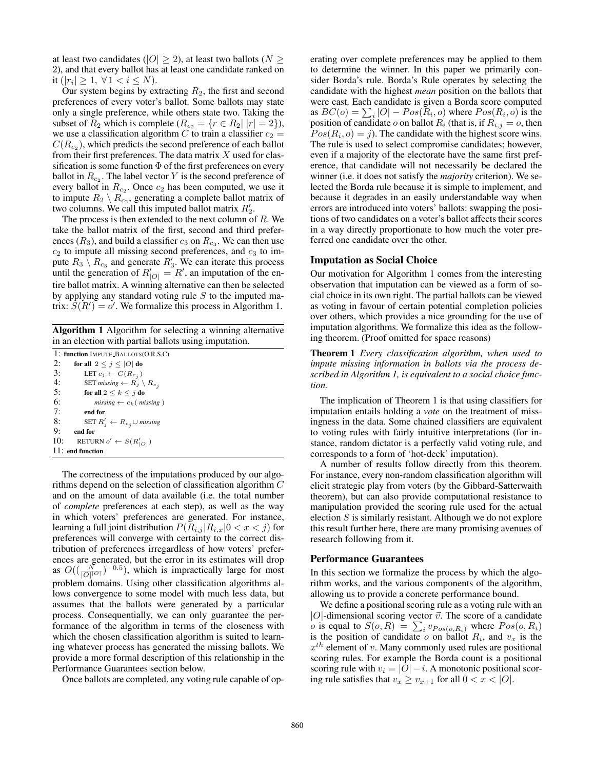at least two candidates ( $|O| \ge 2$ ), at least two ballots ( $N \ge 2$ 2), and that every ballot has at least one candidate ranked on it  $(|r_i| \geq 1, \forall 1 < i \leq N)$ .

Our system begins by extracting  $R_2$ , the first and second preferences of every voter's ballot. Some ballots may state only a single preference, while others state two. Taking the subset of  $R_2$  which is complete  $(R_{c_2} = \{r \in R_2 | |r| = 2\}),$ we use a classification algorithm C to train a classifier  $c_2$  =  $C(R_{c_2})$ , which predicts the second preference of each ballot from their first preferences. The data matrix  $X$  used for classification is some function  $\Phi$  of the first preferences on every ballot in  $R_{c_2}$ . The label vector Y is the second preference of every ballot in  $R_{c_2}$ . Once  $c_2$  has been computed, we use it to impute  $R_2 \setminus R_{c_2}$ , generating a complete ballot matrix of two columns. We call this imputed ballot matrix  $R'_2$ .

The process is then extended to the next column of  $R$ . We take the ballot matrix of the first, second and third preferences  $(R_3)$ , and build a classifier  $c_3$  on  $R_{c_3}$ . We can then use  $c_2$  to impute all missing second preferences, and  $c_3$  to impute  $R_3 \setminus R_{c_3}$  and generate  $R'_3$ . We can iterate this process until the generation of  $R'_{|O|} = R'$ , an imputation of the entire ballot matrix. A winning alternative can then be selected by applying any standard voting rule  $S$  to the imputed matrix:  $S(R') = o'$ . We formalize this process in Algorithm 1.

Algorithm 1 Algorithm for selecting a winning alternative in an election with partial ballots using imputation.

1: function IMPUTE BALLOTS(O,R,S,C) 2: for all  $2 \leq j \leq |O|$  do 3: LET  $c_j \leftarrow C(R_{c_j})$ 4: SET *missing*  $\leftarrow R_j \setminus R_{c_j}$ <br>5: **for all**  $2 \le k \le i$  **do** for all  $2 \leq k \leq j$  do 6:  $missing \leftarrow c_k(\text{missing})$ 7: end for 8: SET  $R'_j \leftarrow R_{c_j} \cup \text{missing}$ 9: end for 10: RETURN  $o' \leftarrow S(R'_{|O|})$ 11: end function

The correctness of the imputations produced by our algorithms depend on the selection of classification algorithm C and on the amount of data available (i.e. the total number of *complete* preferences at each step), as well as the way in which voters' preferences are generated. For instance, learning a full joint distribution  $P(R_{i,j} | R_{i,x}|0 < x < j)$  for preferences will converge with certainty to the correct distribution of preferences irregardless of how voters' preferences are generated, but the error in its estimates will drop as  $O((\frac{N}{|O||^{O}|})^{-0.5})$ , which is impractically large for most problem domains. Using other classification algorithms allows convergence to some model with much less data, but assumes that the ballots were generated by a particular process. Consequentially, we can only guarantee the performance of the algorithm in terms of the closeness with which the chosen classification algorithm is suited to learning whatever process has generated the missing ballots. We provide a more formal description of this relationship in the Performance Guarantees section below.

Once ballots are completed, any voting rule capable of op-

erating over complete preferences may be applied to them to determine the winner. In this paper we primarily consider Borda's rule. Borda's Rule operates by selecting the candidate with the highest *mean* position on the ballots that were cast. Each candidate is given a Borda score computed as  $BC(o) = \sum_i |O| - Pos(R_i, o)$  where  $Pos(R_i, o)$  is the position of candidate o on ballot  $R_i$  (that is, if  $R_{i,j} = 0$ , then  $Pos(R_i, o) = j$ ). The candidate with the highest score wins. The rule is used to select compromise candidates; however, even if a majority of the electorate have the same first preference, that candidate will not necessarily be declared the winner (i.e. it does not satisfy the *majority* criterion). We selected the Borda rule because it is simple to implement, and because it degrades in an easily understandable way when errors are introduced into voters' ballots: swapping the positions of two candidates on a voter's ballot affects their scores in a way directly proportionate to how much the voter preferred one candidate over the other.

#### Imputation as Social Choice

Our motivation for Algorithm 1 comes from the interesting observation that imputation can be viewed as a form of social choice in its own right. The partial ballots can be viewed as voting in favour of certain potential completion policies over others, which provides a nice grounding for the use of imputation algorithms. We formalize this idea as the following theorem. (Proof omitted for space reasons)

Theorem 1 *Every classification algorithm, when used to impute missing information in ballots via the process described in Algorithm 1, is equivalent to a social choice function.*

The implication of Theorem 1 is that using classifiers for imputation entails holding a *vote* on the treatment of missingness in the data. Some chained classifiers are equivalent to voting rules with fairly intuitive interpretations (for instance, random dictator is a perfectly valid voting rule, and corresponds to a form of 'hot-deck' imputation).

A number of results follow directly from this theorem. For instance, every non-random classification algorithm will elicit strategic play from voters (by the Gibbard-Satterwaith theorem), but can also provide computational resistance to manipulation provided the scoring rule used for the actual election  $S$  is similarly resistant. Although we do not explore this result further here, there are many promising avenues of research following from it.

#### Performance Guarantees

In this section we formalize the process by which the algorithm works, and the various components of the algorithm, allowing us to provide a concrete performance bound.

We define a positional scoring rule as a voting rule with an  $|O|$ -dimensional scoring vector  $\vec{v}$ . The score of a candidate *o* is equal to  $S(o, R) = \sum_{i} v_{Pos(o, R_i)}$  where  $Pos(o, R_i)$ is the position of candidate  $o$  on ballot  $R_i$ , and  $v_x$  is the  $x^{th}$  element of v. Many commonly used rules are positional scoring rules. For example the Borda count is a positional scoring rule with  $v_i = |O| - i$ . A monotonic positional scoring rule satisfies that  $v_x \ge v_{x+1}$  for all  $0 < x < |O|$ .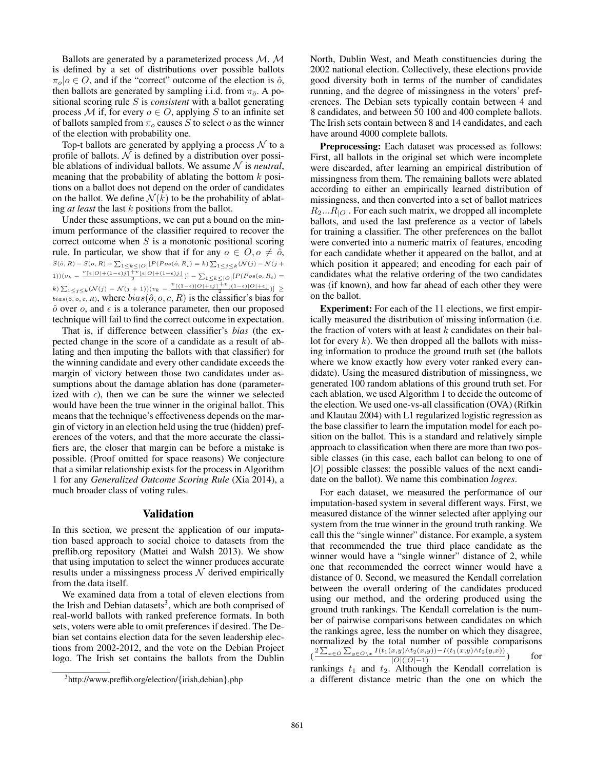Ballots are generated by a parameterized process M. M is defined by a set of distributions over possible ballots  $\pi_o|o \in O$ , and if the "correct" outcome of the election is  $\hat{o}$ , then ballots are generated by sampling i.i.d. from  $\pi_{\hat{o}}$ . A positional scoring rule S is *consistent* with a ballot generating process M if, for every  $o \in O$ , applying S to an infinite set of ballots sampled from  $\pi_o$  causes S to select  $o$  as the winner of the election with probability one.

Top-t ballots are generated by applying a process  $\mathcal N$  to a profile of ballots.  $N$  is defined by a distribution over possible ablations of individual ballots. We assume  $N$  is *neutral*, meaning that the probability of ablating the bottom  $k$  positions on a ballot does not depend on the order of candidates on the ballot. We define  $\mathcal{N}(k)$  to be the probability of ablating *at least* the last k positions from the ballot.

Under these assumptions, we can put a bound on the minimum performance of the classifier required to recover the correct outcome when  $S$  is a monotonic positional scoring rule. In particular, we show that if for any  $o \in O, o \neq \hat{o}$ ,  $S(\hat{o}, R) - S(o, R) + \sum_{1 \leq k \leq |O|} [P(Pos(\hat{o}, R_i) = k) \sum_{1 \leq j \leq k} (\mathcal{N}(j) - \mathcal{N}(j +$ 1))(v<sub>k</sub> –  $\frac{v_{\lceil\epsilon|O|+(1-\epsilon)j\rceil}+v_{\lfloor\epsilon|O|+(1-\epsilon)j\rfloor}}{2})] - \sum_{1\leq k \leq |O|} [P(Pos(o, R_i)$  = k)  $\sum_{1 \leq j \leq k} (N(j) - N(j+1))(v_k - \frac{v_{\lceil(1-\epsilon)|O|+\epsilon j\rceil}+v_{\lfloor(1-\epsilon)|O|+\epsilon\rfloor}}{2})]$  ≥  $\overline{bias(\hat{o}, o, c, R)}$ , where  $bias(\hat{o}, o, c, R)$  is the classifier's bias for  $\hat{o}$  over  $o$ , and  $\epsilon$  is a tolerance parameter, then our proposed technique will fail to find the correct outcome in expectation.

That is, if difference between classifier's *bias* (the expected change in the score of a candidate as a result of ablating and then imputing the ballots with that classifier) for the winning candidate and every other candidate exceeds the margin of victory between those two candidates under assumptions about the damage ablation has done (parameterized with  $\epsilon$ ), then we can be sure the winner we selected would have been the true winner in the original ballot. This means that the technique's effectiveness depends on the margin of victory in an election held using the true (hidden) preferences of the voters, and that the more accurate the classifiers are, the closer that margin can be before a mistake is possible. (Proof omitted for space reasons) We conjecture that a similar relationship exists for the process in Algorithm 1 for any *Generalized Outcome Scoring Rule* (Xia 2014), a much broader class of voting rules.

### Validation

In this section, we present the application of our imputation based approach to social choice to datasets from the preflib.org repository (Mattei and Walsh 2013). We show that using imputation to select the winner produces accurate results under a missingness process  $N$  derived empirically from the data itself.

We examined data from a total of eleven elections from the Irish and Debian datasets<sup>3</sup>, which are both comprised of real-world ballots with ranked preference formats. In both sets, voters were able to omit preferences if desired. The Debian set contains election data for the seven leadership elections from 2002-2012, and the vote on the Debian Project logo. The Irish set contains the ballots from the Dublin North, Dublin West, and Meath constituencies during the 2002 national election. Collectively, these elections provide good diversity both in terms of the number of candidates running, and the degree of missingness in the voters' preferences. The Debian sets typically contain between 4 and 8 candidates, and between 50 100 and 400 complete ballots. The Irish sets contain between 8 and 14 candidates, and each have around 4000 complete ballots.

Preprocessing: Each dataset was processed as follows: First, all ballots in the original set which were incomplete were discarded, after learning an empirical distribution of missingness from them. The remaining ballots were ablated according to either an empirically learned distribution of missingness, and then converted into a set of ballot matrices  $R_2...R_{|O|}$ . For each such matrix, we dropped all incomplete ballots, and used the last preference as a vector of labels for training a classifier. The other preferences on the ballot were converted into a numeric matrix of features, encoding for each candidate whether it appeared on the ballot, and at which position it appeared; and encoding for each pair of candidates what the relative ordering of the two candidates was (if known), and how far ahead of each other they were on the ballot.

Experiment: For each of the 11 elections, we first empirically measured the distribution of missing information (i.e. the fraction of voters with at least  $k$  candidates on their ballot for every  $k$ ). We then dropped all the ballots with missing information to produce the ground truth set (the ballots where we know exactly how every voter ranked every candidate). Using the measured distribution of missingness, we generated 100 random ablations of this ground truth set. For each ablation, we used Algorithm 1 to decide the outcome of the election. We used one-vs-all classification (OVA) (Rifkin and Klautau 2004) with L1 regularized logistic regression as the base classifier to learn the imputation model for each position on the ballot. This is a standard and relatively simple approach to classification when there are more than two possible classes (in this case, each ballot can belong to one of  $|O|$  possible classes: the possible values of the next candidate on the ballot). We name this combination *logres*.

For each dataset, we measured the performance of our imputation-based system in several different ways. First, we measured distance of the winner selected after applying our system from the true winner in the ground truth ranking. We call this the "single winner" distance. For example, a system that recommended the true third place candidate as the winner would have a "single winner" distance of 2, while one that recommended the correct winner would have a distance of 0. Second, we measured the Kendall correlation between the overall ordering of the candidates produced using our method, and the ordering produced using the ground truth rankings. The Kendall correlation is the number of pairwise comparisons between candidates on which the rankings agree, less the number on which they disagree, normalized by the total number of possible comparisons  $\frac{(2\sum_{x\in O}\sum_{y\in O\setminus x}I(t_1(x,y)\wedge t_2(x,y))-I(t_1(x,y)\wedge t_2(y,x))}{|O|(|O|-1)}$  for rankings  $t_1$  and  $t_2$ . Although the Kendall correlation is a different distance metric than the one on which the

<sup>3</sup> http://www.preflib.org/election/{irish,debian}.php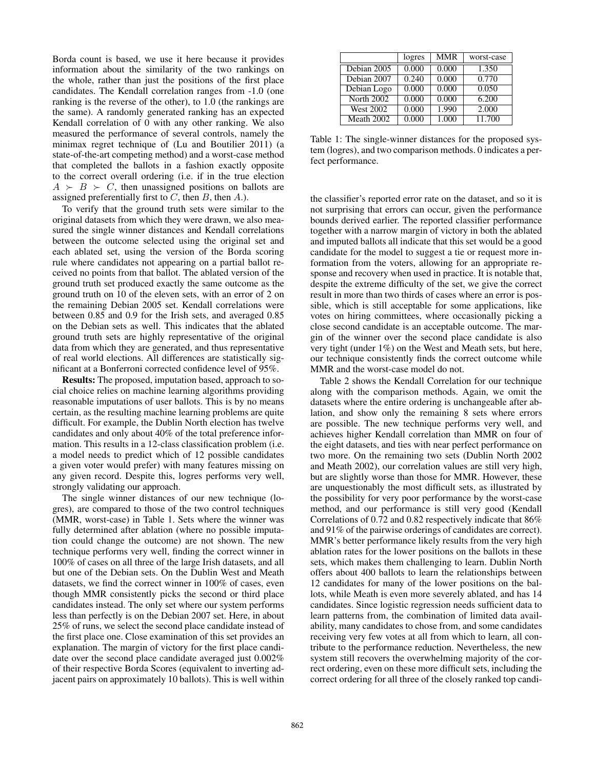Borda count is based, we use it here because it provides information about the similarity of the two rankings on the whole, rather than just the positions of the first place candidates. The Kendall correlation ranges from -1.0 (one ranking is the reverse of the other), to 1.0 (the rankings are the same). A randomly generated ranking has an expected Kendall correlation of 0 with any other ranking. We also measured the performance of several controls, namely the minimax regret technique of (Lu and Boutilier 2011) (a state-of-the-art competing method) and a worst-case method that completed the ballots in a fashion exactly opposite to the correct overall ordering (i.e. if in the true election  $A \succ B \succ C$ , then unassigned positions on ballots are assigned preferentially first to  $C$ , then  $B$ , then  $A$ .).

To verify that the ground truth sets were similar to the original datasets from which they were drawn, we also measured the single winner distances and Kendall correlations between the outcome selected using the original set and each ablated set, using the version of the Borda scoring rule where candidates not appearing on a partial ballot received no points from that ballot. The ablated version of the ground truth set produced exactly the same outcome as the ground truth on 10 of the eleven sets, with an error of 2 on the remaining Debian 2005 set. Kendall correlations were between 0.85 and 0.9 for the Irish sets, and averaged 0.85 on the Debian sets as well. This indicates that the ablated ground truth sets are highly representative of the original data from which they are generated, and thus representative of real world elections. All differences are statistically significant at a Bonferroni corrected confidence level of 95%.

Results: The proposed, imputation based, approach to social choice relies on machine learning algorithms providing reasonable imputations of user ballots. This is by no means certain, as the resulting machine learning problems are quite difficult. For example, the Dublin North election has twelve candidates and only about 40% of the total preference information. This results in a 12-class classification problem (i.e. a model needs to predict which of 12 possible candidates a given voter would prefer) with many features missing on any given record. Despite this, logres performs very well, strongly validating our approach.

The single winner distances of our new technique (logres), are compared to those of the two control techniques (MMR, worst-case) in Table 1. Sets where the winner was fully determined after ablation (where no possible imputation could change the outcome) are not shown. The new technique performs very well, finding the correct winner in 100% of cases on all three of the large Irish datasets, and all but one of the Debian sets. On the Dublin West and Meath datasets, we find the correct winner in 100% of cases, even though MMR consistently picks the second or third place candidates instead. The only set where our system performs less than perfectly is on the Debian 2007 set. Here, in about 25% of runs, we select the second place candidate instead of the first place one. Close examination of this set provides an explanation. The margin of victory for the first place candidate over the second place candidate averaged just 0.002% of their respective Borda Scores (equivalent to inverting adjacent pairs on approximately 10 ballots). This is well within

|                   | logres | <b>MMR</b> | worst-case |
|-------------------|--------|------------|------------|
| Debian 2005       | 0.000  | 0.000      | 1.350      |
| Debian 2007       | 0.240  | 0.000      | 0.770      |
| Debian Logo       | 0.000  | 0.000      | 0.050      |
| <b>North 2002</b> | 0.000  | 0.000      | 6.200      |
| <b>West 2002</b>  | 0.000  | 1.990      | 2.000      |
| Meath 2002        | 0.000  | 1.000      | 11.700     |

Table 1: The single-winner distances for the proposed system (logres), and two comparison methods. 0 indicates a perfect performance.

the classifier's reported error rate on the dataset, and so it is not surprising that errors can occur, given the performance bounds derived earlier. The reported classifier performance together with a narrow margin of victory in both the ablated and imputed ballots all indicate that this set would be a good candidate for the model to suggest a tie or request more information from the voters, allowing for an appropriate response and recovery when used in practice. It is notable that, despite the extreme difficulty of the set, we give the correct result in more than two thirds of cases where an error is possible, which is still acceptable for some applications, like votes on hiring committees, where occasionally picking a close second candidate is an acceptable outcome. The margin of the winner over the second place candidate is also very tight (under 1%) on the West and Meath sets, but here, our technique consistently finds the correct outcome while MMR and the worst-case model do not.

Table 2 shows the Kendall Correlation for our technique along with the comparison methods. Again, we omit the datasets where the entire ordering is unchangeable after ablation, and show only the remaining 8 sets where errors are possible. The new technique performs very well, and achieves higher Kendall correlation than MMR on four of the eight datasets, and ties with near perfect performance on two more. On the remaining two sets (Dublin North 2002 and Meath 2002), our correlation values are still very high, but are slightly worse than those for MMR. However, these are unquestionably the most difficult sets, as illustrated by the possibility for very poor performance by the worst-case method, and our performance is still very good (Kendall Correlations of 0.72 and 0.82 respectively indicate that 86% and 91% of the pairwise orderings of candidates are correct). MMR's better performance likely results from the very high ablation rates for the lower positions on the ballots in these sets, which makes them challenging to learn. Dublin North offers about 400 ballots to learn the relationships between 12 candidates for many of the lower positions on the ballots, while Meath is even more severely ablated, and has 14 candidates. Since logistic regression needs sufficient data to learn patterns from, the combination of limited data availability, many candidates to chose from, and some candidates receiving very few votes at all from which to learn, all contribute to the performance reduction. Nevertheless, the new system still recovers the overwhelming majority of the correct ordering, even on these more difficult sets, including the correct ordering for all three of the closely ranked top candi-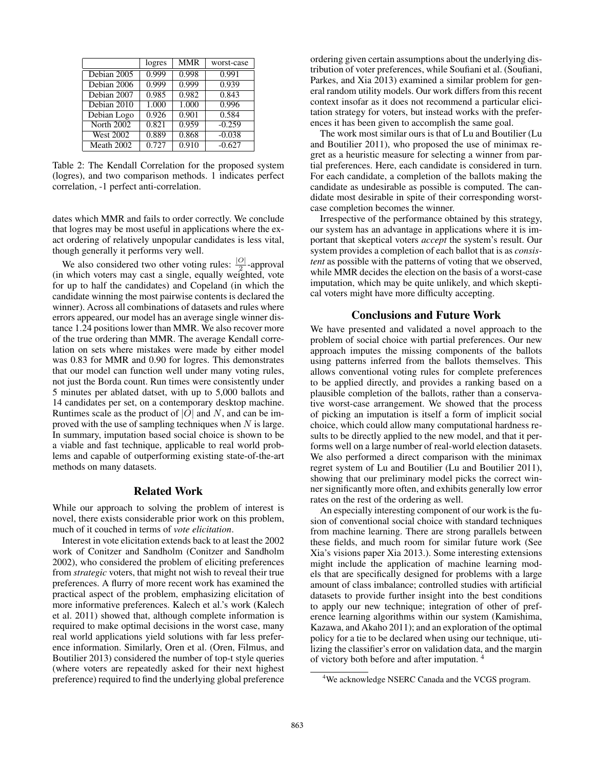|                  | logres | <b>MMR</b> | worst-case |
|------------------|--------|------------|------------|
| Debian 2005      | 0.999  | 0.998      | 0.991      |
| Debian 2006      | 0.999  | 0.999      | 0.939      |
| Debian 2007      | 0.985  | 0.982      | 0.843      |
| Debian 2010      | 1.000  | 1.000      | 0.996      |
| Debian Logo      | 0.926  | 0.901      | 0.584      |
| North 2002       | 0.821  | 0.959      | $-0.259$   |
| <b>West 2002</b> | 0.889  | 0.868      | $-0.038$   |
| Meath 2002       | 0.727  | 0.910      | $-0.627$   |

Table 2: The Kendall Correlation for the proposed system (logres), and two comparison methods. 1 indicates perfect correlation, -1 perfect anti-correlation.

dates which MMR and fails to order correctly. We conclude that logres may be most useful in applications where the exact ordering of relatively unpopular candidates is less vital, though generally it performs very well.

We also considered two other voting rules:  $\frac{|O|}{2}$ -approval (in which voters may cast a single, equally weighted, vote for up to half the candidates) and Copeland (in which the candidate winning the most pairwise contents is declared the winner). Across all combinations of datasets and rules where errors appeared, our model has an average single winner distance 1.24 positions lower than MMR. We also recover more of the true ordering than MMR. The average Kendall correlation on sets where mistakes were made by either model was 0.83 for MMR and 0.90 for logres. This demonstrates that our model can function well under many voting rules, not just the Borda count. Run times were consistently under 5 minutes per ablated datset, with up to 5,000 ballots and 14 candidates per set, on a contemporary desktop machine. Runtimes scale as the product of  $|O|$  and N, and can be improved with the use of sampling techniques when  $N$  is large. In summary, imputation based social choice is shown to be a viable and fast technique, applicable to real world problems and capable of outperforming existing state-of-the-art methods on many datasets.

## Related Work

While our approach to solving the problem of interest is novel, there exists considerable prior work on this problem, much of it couched in terms of *vote elicitation*.

Interest in vote elicitation extends back to at least the 2002 work of Conitzer and Sandholm (Conitzer and Sandholm 2002), who considered the problem of eliciting preferences from *strategic* voters, that might not wish to reveal their true preferences. A flurry of more recent work has examined the practical aspect of the problem, emphasizing elicitation of more informative preferences. Kalech et al.'s work (Kalech et al. 2011) showed that, although complete information is required to make optimal decisions in the worst case, many real world applications yield solutions with far less preference information. Similarly, Oren et al. (Oren, Filmus, and Boutilier 2013) considered the number of top-t style queries (where voters are repeatedly asked for their next highest preference) required to find the underlying global preference

ordering given certain assumptions about the underlying distribution of voter preferences, while Soufiani et al. (Soufiani, Parkes, and Xia 2013) examined a similar problem for general random utility models. Our work differs from this recent context insofar as it does not recommend a particular elicitation strategy for voters, but instead works with the preferences it has been given to accomplish the same goal.

The work most similar ours is that of Lu and Boutilier (Lu and Boutilier 2011), who proposed the use of minimax regret as a heuristic measure for selecting a winner from partial preferences. Here, each candidate is considered in turn. For each candidate, a completion of the ballots making the candidate as undesirable as possible is computed. The candidate most desirable in spite of their corresponding worstcase completion becomes the winner.

Irrespective of the performance obtained by this strategy, our system has an advantage in applications where it is important that skeptical voters *accept* the system's result. Our system provides a completion of each ballot that is as *consistent* as possible with the patterns of voting that we observed, while MMR decides the election on the basis of a worst-case imputation, which may be quite unlikely, and which skeptical voters might have more difficulty accepting.

## Conclusions and Future Work

We have presented and validated a novel approach to the problem of social choice with partial preferences. Our new approach imputes the missing components of the ballots using patterns inferred from the ballots themselves. This allows conventional voting rules for complete preferences to be applied directly, and provides a ranking based on a plausible completion of the ballots, rather than a conservative worst-case arrangement. We showed that the process of picking an imputation is itself a form of implicit social choice, which could allow many computational hardness results to be directly applied to the new model, and that it performs well on a large number of real-world election datasets. We also performed a direct comparison with the minimax regret system of Lu and Boutilier (Lu and Boutilier 2011), showing that our preliminary model picks the correct winner significantly more often, and exhibits generally low error rates on the rest of the ordering as well.

An especially interesting component of our work is the fusion of conventional social choice with standard techniques from machine learning. There are strong parallels between these fields, and much room for similar future work (See Xia's visions paper Xia 2013.). Some interesting extensions might include the application of machine learning models that are specifically designed for problems with a large amount of class imbalance; controlled studies with artificial datasets to provide further insight into the best conditions to apply our new technique; integration of other of preference learning algorithms within our system (Kamishima, Kazawa, and Akaho 2011); and an exploration of the optimal policy for a tie to be declared when using our technique, utilizing the classifier's error on validation data, and the margin of victory both before and after imputation. <sup>4</sup>

<sup>&</sup>lt;sup>4</sup>We acknowledge NSERC Canada and the VCGS program.